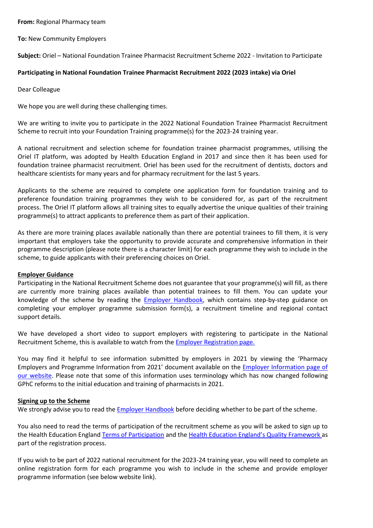# **From:** Regional Pharmacy team

**To:** New Community Employers

**Subject:** Oriel – National Foundation Trainee Pharmacist Recruitment Scheme 2022 - Invitation to Participate

# **Participating in National Foundation Trainee Pharmacist Recruitment 2022 (2023 intake) via Oriel**

Dear Colleague

We hope you are well during these challenging times.

We are writing to invite you to participate in the 2022 National Foundation Trainee Pharmacist Recruitment Scheme to recruit into your Foundation Training programme(s) for the 2023-24 training year.

A national recruitment and selection scheme for foundation trainee pharmacist programmes, utilising the Oriel IT platform, was adopted by Health Education England in 2017 and since then it has been used for foundation trainee pharmacist recruitment. Oriel has been used for the recruitment of dentists, doctors and healthcare scientists for many years and for pharmacy recruitment for the last 5 years.

Applicants to the scheme are required to complete one application form for foundation training and to preference foundation training programmes they wish to be considered for, as part of the recruitment process. The Oriel IT platform allows all training sites to equally advertise the unique qualities of their training programme(s) to attract applicants to preference them as part of their application.

As there are more training places available nationally than there are potential trainees to fill them, it is very important that employers take the opportunity to provide accurate and comprehensive information in their programme description (please note there is a character limit) for each programme they wish to include in the scheme, to guide applicants with their preferencing choices on Oriel.

# **Employer Guidance**

Participating in the National Recruitment Scheme does not guarantee that your programme(s) will fill, as there are currently more training places available than potential trainees to fill them. You can update your knowledge of the scheme by reading the **Employer Handbook**, which contains step-by-step guidance on completing your employer programme submission form(s), a recruitment timeline and regional contact support details.

We have developed a short video to support employers with registering to participate in the National Recruitment Scheme, this is available to watch from the [Employer Registration page.](https://www.lasepharmacy.hee.nhs.uk/national-recruitment/employer-registration)  

You may find it helpful to see information submitted by employers in 2021 by viewing the 'Pharmacy Employers and Programme Information from 2021' document available on the [Employer Information page of](https://www.lasepharmacy.hee.nhs.uk/national-recruitment/employer-information)  [our website.](https://www.lasepharmacy.hee.nhs.uk/national-recruitment/employer-information) Please note that some of this information uses terminology which has now changed following GPhC reforms to the initial education and training of pharmacists in 2021.

# **Signing up to the Scheme**

We strongly advise you to read th[e Employer Handbook](https://www.lasepharmacy.hee.nhs.uk/dyn/_assets/_folder4/_folder4/national-recruitment/fty_employer_handbook_2022.pdf) before deciding whether to be part of the scheme.

You also need to read the terms of participation of the recruitment scheme as you will be asked to sign up to the Health Education England [Terms of Participation](https://www.lasepharmacy.hee.nhs.uk/national-recruitment/terms-of-participation/) and the [Health Education England's Quality Framework](https://www.lasepharmacy.hee.nhs.uk/national-recruitment/quality-framework/) as part of the registration process.

If you wish to be part of 2022 national recruitment for the 2023-24 training year, you will need to complete an online registration form for each programme you wish to include in the scheme and provide employer programme information (see below website link).